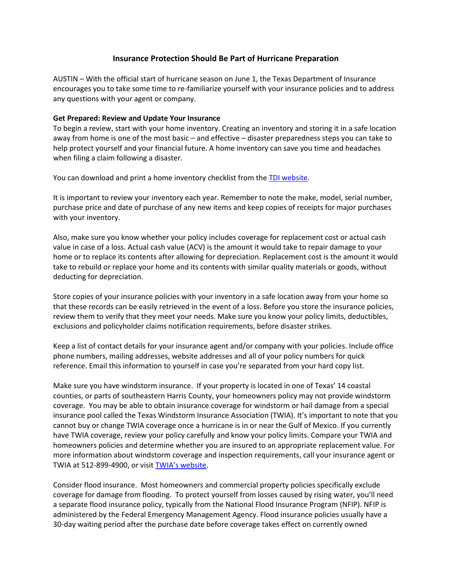## **Insurance Protection Should Be Part of Hurricane Preparation**

AUSTIN – With the official start of hurricane season on June 1, the Texas Department of Insurance encourages you to take some time to re-familiarize yourself with your insurance policies and to address any questions with your agent or company.

## **Get Prepared: Review and Update Your Insurance**

To begin a review, start with your home inventory. Creating an inventory and storing it in a safe location away from home is one of the most basic – and effective – disaster preparedness steps you can take to help protect yourself and your financial future. A home inventory can save you time and headaches when filing a claim following a disaster.

You can download and print a home inventory checklist from the [TDI website.](http://www.tdi.state.tx.us/pubs/consumer/cb086.pdf)

It is important to review your inventory each year. Remember to note the make, model, serial number, purchase price and date of purchase of any new items and keep copies of receipts for major purchases with your inventory.

Also, make sure you know whether your policy includes coverage for replacement cost or actual cash value in case of a loss. Actual cash value (ACV) is the amount it would take to repair damage to your home or to replace its contents after allowing for depreciation. Replacement cost is the amount it would take to rebuild or replace your home and its contents with similar quality materials or goods, without deducting for depreciation.

Store copies of your insurance policies with your inventory in a safe location away from your home so that these records can be easily retrieved in the event of a loss. Before you store the insurance policies, review them to verify that they meet your needs. Make sure you know your policy limits, deductibles, exclusions and policyholder claims notification requirements, before disaster strikes.

Keep a list of contact details for your insurance agent and/or company with your policies. Include office phone numbers, mailing addresses, website addresses and all of your policy numbers for quick reference. Email this information to yourself in case you're separated from your hard copy list.

Make sure you have windstorm insurance. If your property is located in one of Texas' 14 coastal counties, or parts of southeastern Harris County, your homeowners policy may not provide windstorm coverage. You may be able to obtain insurance coverage for windstorm or hail damage from a special insurance pool called the Texas Windstorm Insurance Association (TWIA). It's important to note that you cannot buy or change TWIA coverage once a hurricane is in or near the Gulf of Mexico. If you currently have TWIA coverage, review your policy carefully and know your policy limits. Compare your TWIA and homeowners policies and determine whether you are insured to an appropriate replacement value. For more information about windstorm coverage and inspection requirements, call your insurance agent or TWIA at 512-899-4900, or visit **[TWIA's website](http://www.twia.org/)**.

Consider flood insurance. Most homeowners and commercial property policies specifically exclude coverage for damage from flooding. To protect yourself from losses caused by rising water, you'll need a separate flood insurance policy, typically from the National Flood Insurance Program (NFIP). NFIP is administered by the Federal Emergency Management Agency. Flood insurance policies usually have a 30-day waiting period after the purchase date before coverage takes effect on currently owned